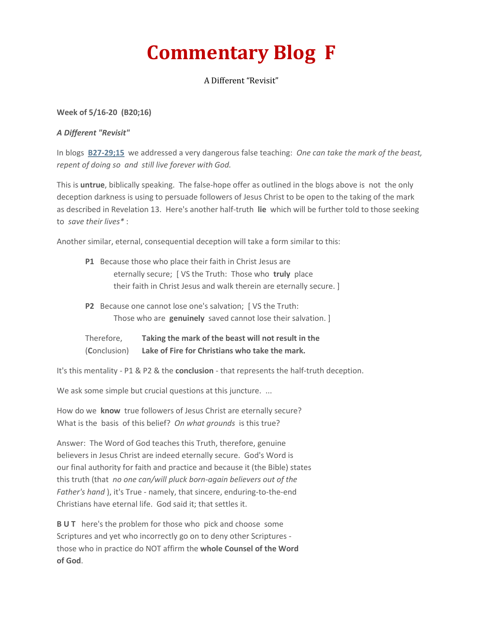## **Commentary Blog F**

A Different "Revisit"

## **Week of 5/16-20 (B20;16)**

## *A Different "Revisit"*

In blogs **[B27-29;15](http://www.truthfoundations.org/home/archived2015blogs.html)** we addressed a very dangerous false teaching: *One can take the mark of the beast, repent of doing so and still live forever with God.*

This is **untrue**, biblically speaking. The false-hope offer as outlined in the blogs above is not the only deception darkness is using to persuade followers of Jesus Christ to be open to the taking of the mark as described in Revelation 13. Here's another half-truth **lie** which will be further told to those seeking to *save their lives\** :

Another similar, eternal, consequential deception will take a form similar to this:

- **P1** Because those who place their faith in Christ Jesus are eternally secure; [ VS the Truth: Those who **truly** place their faith in Christ Jesus and walk therein are eternally secure. ]
- **P2** Because one cannot lose one's salvation; [ VS the Truth: Those who are **genuinely** saved cannot lose their salvation. ]
- Therefore, **Taking the mark of the beast will not result in the** (**C**onclusion) **Lake of Fire for Christians who take the mark.**

It's this mentality - P1 & P2 & the **conclusion** - that represents the half-truth deception.

We ask some simple but crucial questions at this juncture. ...

How do we **know** true followers of Jesus Christ are eternally secure? What is the basis of this belief? *On what grounds* is this true?

Answer: The Word of God teaches this Truth, therefore, genuine believers in Jesus Christ are indeed eternally secure. God's Word is our final authority for faith and practice and because it (the Bible) states this truth (that *no one can/will pluck born-again believers out of the Father's hand* ), it's True - namely, that sincere, enduring-to-the-end Christians have eternal life. God said it; that settles it.

**BUT** here's the problem for those who pick and choose some Scriptures and yet who incorrectly go on to deny other Scriptures those who in practice do NOT affirm the **whole Counsel of the Word of God**.